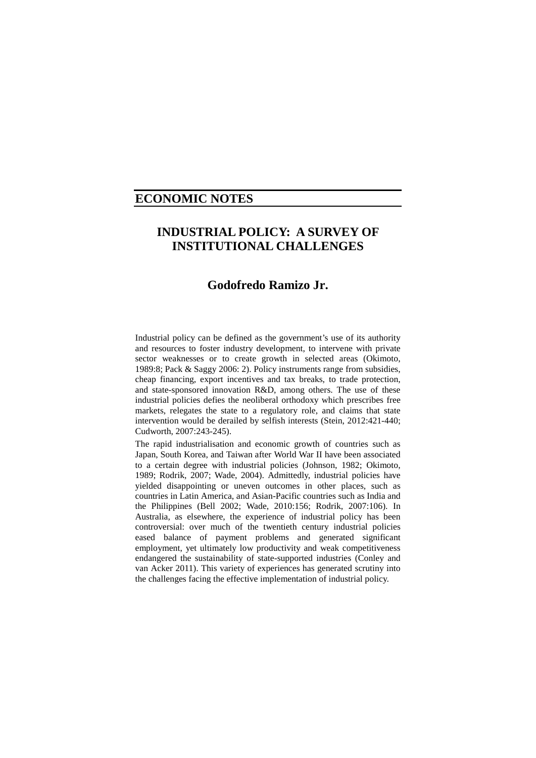## **ECONOMIC NOTES**

# **INDUSTRIAL POLICY: A SURVEY OF INSTITUTIONAL CHALLENGES**

## **Godofredo Ramizo Jr.**

Industrial policy can be defined as the government's use of its authority and resources to foster industry development, to intervene with private sector weaknesses or to create growth in selected areas (Okimoto, 1989:8; Pack & Saggy 2006: 2). Policy instruments range from subsidies, cheap financing, export incentives and tax breaks, to trade protection, and state-sponsored innovation R&D, among others. The use of these industrial policies defies the neoliberal orthodoxy which prescribes free markets, relegates the state to a regulatory role, and claims that state intervention would be derailed by selfish interests (Stein, 2012:421-440; Cudworth, 2007:243-245).

The rapid industrialisation and economic growth of countries such as Japan, South Korea, and Taiwan after World War II have been associated to a certain degree with industrial policies (Johnson, 1982; Okimoto, 1989; Rodrik, 2007; Wade, 2004). Admittedly, industrial policies have yielded disappointing or uneven outcomes in other places, such as countries in Latin America, and Asian-Pacific countries such as India and the Philippines (Bell 2002; Wade, 2010:156; Rodrik, 2007:106). In Australia, as elsewhere, the experience of industrial policy has been controversial: over much of the twentieth century industrial policies eased balance of payment problems and generated significant employment, yet ultimately low productivity and weak competitiveness endangered the sustainability of state-supported industries (Conley and van Acker 2011). This variety of experiences has generated scrutiny into the challenges facing the effective implementation of industrial policy.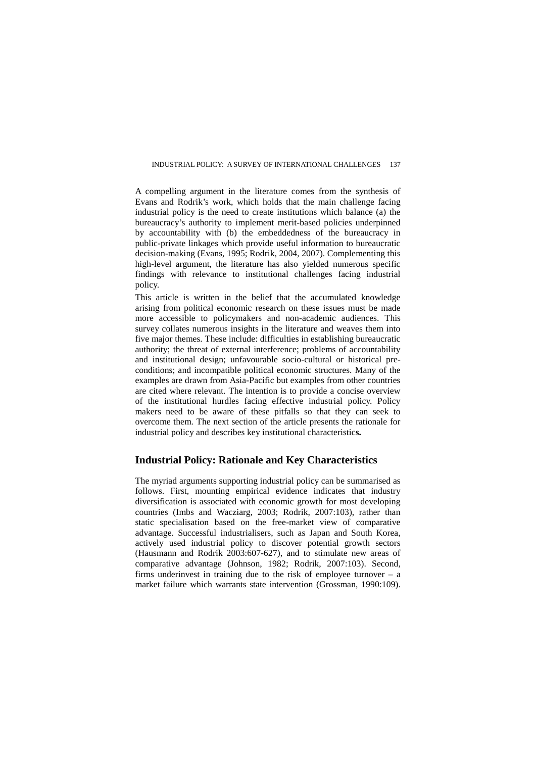A compelling argument in the literature comes from the synthesis of Evans and Rodrik's work, which holds that the main challenge facing industrial policy is the need to create institutions which balance (a) the bureaucracy's authority to implement merit-based policies underpinned by accountability with (b) the embeddedness of the bureaucracy in public-private linkages which provide useful information to bureaucratic decision-making (Evans, 1995; Rodrik, 2004, 2007). Complementing this high-level argument, the literature has also yielded numerous specific findings with relevance to institutional challenges facing industrial policy.

This article is written in the belief that the accumulated knowledge arising from political economic research on these issues must be made more accessible to policymakers and non-academic audiences. This survey collates numerous insights in the literature and weaves them into five major themes. These include: difficulties in establishing bureaucratic authority; the threat of external interference; problems of accountability and institutional design; unfavourable socio-cultural or historical preconditions; and incompatible political economic structures. Many of the examples are drawn from Asia-Pacific but examples from other countries are cited where relevant. The intention is to provide a concise overview of the institutional hurdles facing effective industrial policy. Policy makers need to be aware of these pitfalls so that they can seek to overcome them. The next section of the article presents the rationale for industrial policy and describes key institutional characteristic**s.**

## **Industrial Policy: Rationale and Key Characteristics**

The myriad arguments supporting industrial policy can be summarised as follows. First, mounting empirical evidence indicates that industry diversification is associated with economic growth for most developing countries (Imbs and Wacziarg, 2003; Rodrik, 2007:103), rather than static specialisation based on the free-market view of comparative advantage. Successful industrialisers, such as Japan and South Korea, actively used industrial policy to discover potential growth sectors (Hausmann and Rodrik 2003:607-627), and to stimulate new areas of comparative advantage (Johnson, 1982; Rodrik, 2007:103). Second, firms underinvest in training due to the risk of employee turnover  $-$  a market failure which warrants state intervention (Grossman, 1990:109).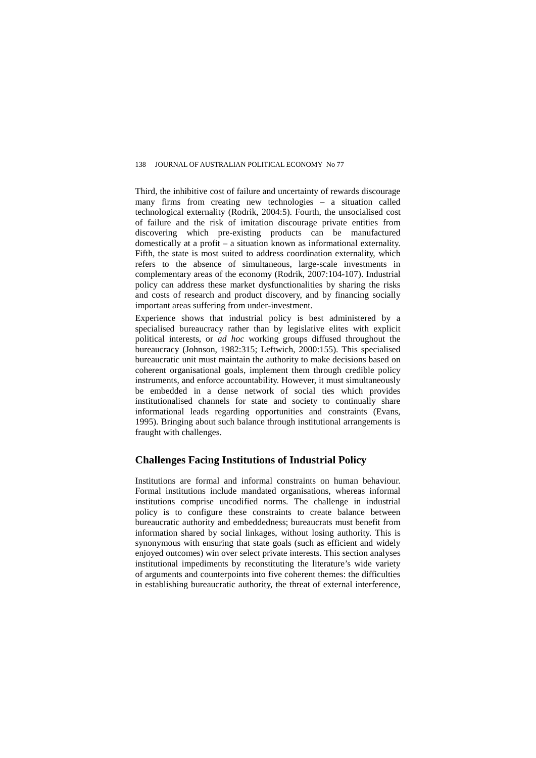Third, the inhibitive cost of failure and uncertainty of rewards discourage many firms from creating new technologies – a situation called technological externality (Rodrik, 2004:5). Fourth, the unsocialised cost of failure and the risk of imitation discourage private entities from discovering which pre-existing products can be manufactured domestically at a profit – a situation known as informational externality. Fifth, the state is most suited to address coordination externality, which refers to the absence of simultaneous, large-scale investments in complementary areas of the economy (Rodrik, 2007:104-107). Industrial policy can address these market dysfunctionalities by sharing the risks and costs of research and product discovery, and by financing socially important areas suffering from under-investment.

Experience shows that industrial policy is best administered by a specialised bureaucracy rather than by legislative elites with explicit political interests, or *ad hoc* working groups diffused throughout the bureaucracy (Johnson, 1982:315; Leftwich, 2000:155). This specialised bureaucratic unit must maintain the authority to make decisions based on coherent organisational goals, implement them through credible policy instruments, and enforce accountability. However, it must simultaneously be embedded in a dense network of social ties which provides institutionalised channels for state and society to continually share informational leads regarding opportunities and constraints (Evans, 1995). Bringing about such balance through institutional arrangements is fraught with challenges.

## **Challenges Facing Institutions of Industrial Policy**

Institutions are formal and informal constraints on human behaviour. Formal institutions include mandated organisations, whereas informal institutions comprise uncodified norms. The challenge in industrial policy is to configure these constraints to create balance between bureaucratic authority and embeddedness; bureaucrats must benefit from information shared by social linkages, without losing authority. This is synonymous with ensuring that state goals (such as efficient and widely enjoyed outcomes) win over select private interests. This section analyses institutional impediments by reconstituting the literature's wide variety of arguments and counterpoints into five coherent themes: the difficulties in establishing bureaucratic authority, the threat of external interference,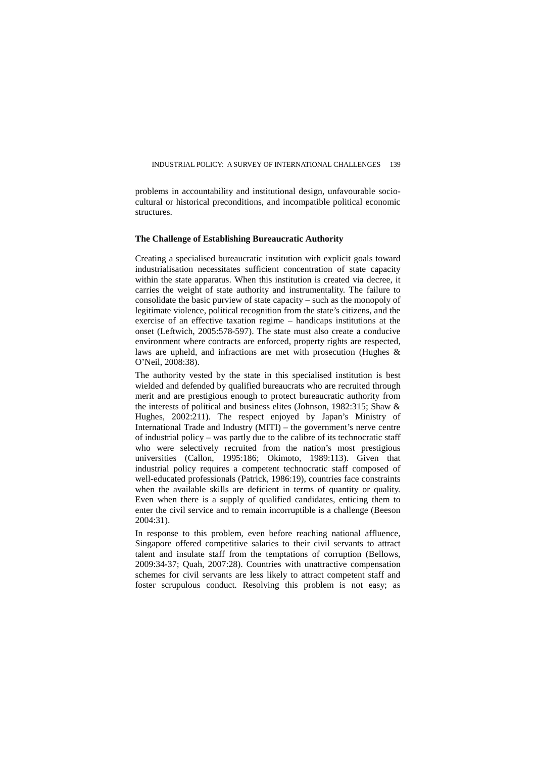problems in accountability and institutional design, unfavourable sociocultural or historical preconditions, and incompatible political economic structures.

#### **The Challenge of Establishing Bureaucratic Authority**

Creating a specialised bureaucratic institution with explicit goals toward industrialisation necessitates sufficient concentration of state capacity within the state apparatus. When this institution is created via decree, it carries the weight of state authority and instrumentality. The failure to consolidate the basic purview of state capacity – such as the monopoly of legitimate violence, political recognition from the state's citizens, and the exercise of an effective taxation regime – handicaps institutions at the onset (Leftwich, 2005:578-597). The state must also create a conducive environment where contracts are enforced, property rights are respected, laws are upheld, and infractions are met with prosecution (Hughes & O'Neil, 2008:38).

The authority vested by the state in this specialised institution is best wielded and defended by qualified bureaucrats who are recruited through merit and are prestigious enough to protect bureaucratic authority from the interests of political and business elites (Johnson, 1982:315; Shaw & Hughes, 2002:211). The respect enjoyed by Japan's Ministry of International Trade and Industry (MITI) – the government's nerve centre of industrial policy – was partly due to the calibre of its technocratic staff who were selectively recruited from the nation's most prestigious universities (Callon, 1995:186; Okimoto, 1989:113). Given that industrial policy requires a competent technocratic staff composed of well-educated professionals (Patrick, 1986:19), countries face constraints when the available skills are deficient in terms of quantity or quality. Even when there is a supply of qualified candidates, enticing them to enter the civil service and to remain incorruptible is a challenge (Beeson 2004:31).

In response to this problem, even before reaching national affluence, Singapore offered competitive salaries to their civil servants to attract talent and insulate staff from the temptations of corruption (Bellows, 2009:34-37; Quah, 2007:28). Countries with unattractive compensation schemes for civil servants are less likely to attract competent staff and foster scrupulous conduct. Resolving this problem is not easy; as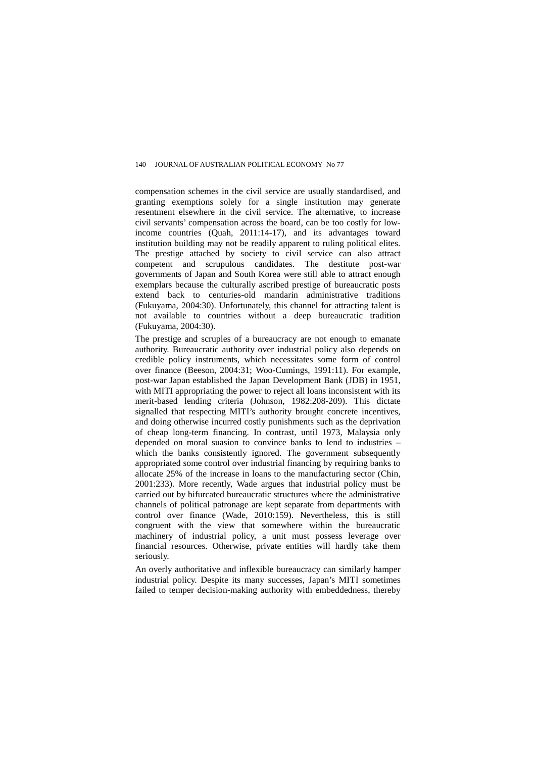compensation schemes in the civil service are usually standardised, and granting exemptions solely for a single institution may generate resentment elsewhere in the civil service. The alternative, to increase civil servants' compensation across the board, can be too costly for lowincome countries (Quah, 2011:14-17), and its advantages toward institution building may not be readily apparent to ruling political elites. The prestige attached by society to civil service can also attract competent and scrupulous candidates. The destitute post-war governments of Japan and South Korea were still able to attract enough exemplars because the culturally ascribed prestige of bureaucratic posts extend back to centuries-old mandarin administrative traditions (Fukuyama, 2004:30). Unfortunately, this channel for attracting talent is not available to countries without a deep bureaucratic tradition (Fukuyama, 2004:30).

The prestige and scruples of a bureaucracy are not enough to emanate authority. Bureaucratic authority over industrial policy also depends on credible policy instruments, which necessitates some form of control over finance (Beeson, 2004:31; Woo-Cumings, 1991:11). For example, post-war Japan established the Japan Development Bank (JDB) in 1951, with MITI appropriating the power to reject all loans inconsistent with its merit-based lending criteria (Johnson, 1982:208-209). This dictate signalled that respecting MITI's authority brought concrete incentives, and doing otherwise incurred costly punishments such as the deprivation of cheap long-term financing. In contrast, until 1973, Malaysia only depended on moral suasion to convince banks to lend to industries – which the banks consistently ignored. The government subsequently appropriated some control over industrial financing by requiring banks to allocate 25% of the increase in loans to the manufacturing sector (Chin, 2001:233). More recently, Wade argues that industrial policy must be carried out by bifurcated bureaucratic structures where the administrative channels of political patronage are kept separate from departments with control over finance (Wade, 2010:159). Nevertheless, this is still congruent with the view that somewhere within the bureaucratic machinery of industrial policy, a unit must possess leverage over financial resources. Otherwise, private entities will hardly take them seriously.

An overly authoritative and inflexible bureaucracy can similarly hamper industrial policy. Despite its many successes, Japan's MITI sometimes failed to temper decision-making authority with embeddedness, thereby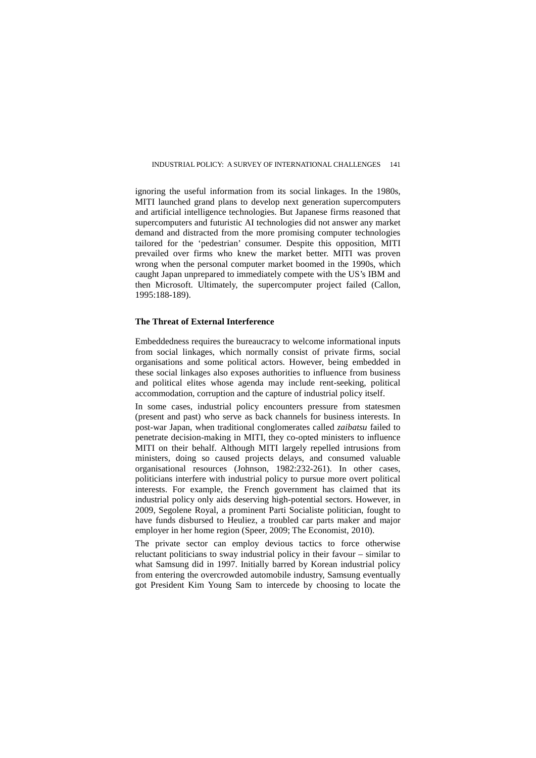ignoring the useful information from its social linkages. In the 1980s, MITI launched grand plans to develop next generation supercomputers and artificial intelligence technologies. But Japanese firms reasoned that supercomputers and futuristic AI technologies did not answer any market demand and distracted from the more promising computer technologies tailored for the 'pedestrian' consumer. Despite this opposition, MITI prevailed over firms who knew the market better. MITI was proven wrong when the personal computer market boomed in the 1990s, which caught Japan unprepared to immediately compete with the US's IBM and then Microsoft. Ultimately, the supercomputer project failed (Callon, 1995:188-189).

#### **The Threat of External Interference**

Embeddedness requires the bureaucracy to welcome informational inputs from social linkages, which normally consist of private firms, social organisations and some political actors. However, being embedded in these social linkages also exposes authorities to influence from business and political elites whose agenda may include rent-seeking, political accommodation, corruption and the capture of industrial policy itself.

In some cases, industrial policy encounters pressure from statesmen (present and past) who serve as back channels for business interests. In post-war Japan, when traditional conglomerates called *zaibatsu* failed to penetrate decision-making in MITI, they co-opted ministers to influence MITI on their behalf. Although MITI largely repelled intrusions from ministers, doing so caused projects delays, and consumed valuable organisational resources (Johnson, 1982:232-261). In other cases, politicians interfere with industrial policy to pursue more overt political interests. For example, the French government has claimed that its industrial policy only aids deserving high-potential sectors. However, in 2009, Segolene Royal, a prominent Parti Socialiste politician, fought to have funds disbursed to Heuliez, a troubled car parts maker and major employer in her home region (Speer, 2009; The Economist, 2010).

The private sector can employ devious tactics to force otherwise reluctant politicians to sway industrial policy in their favour – similar to what Samsung did in 1997. Initially barred by Korean industrial policy from entering the overcrowded automobile industry, Samsung eventually got President Kim Young Sam to intercede by choosing to locate the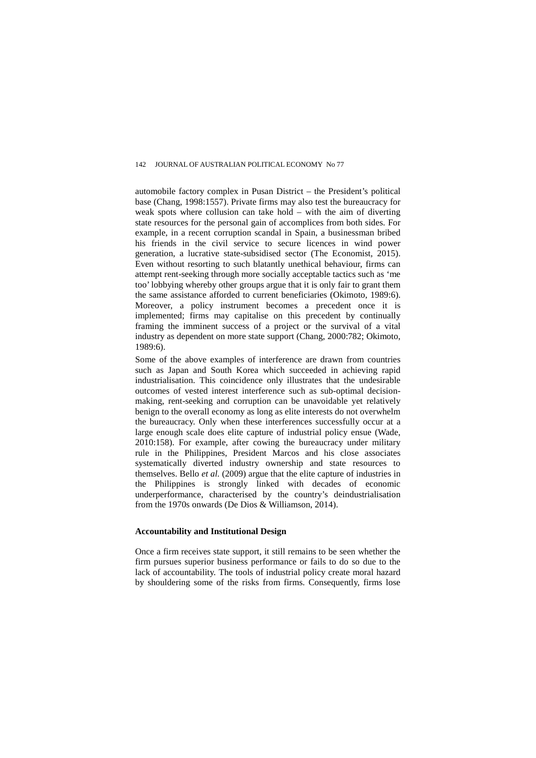automobile factory complex in Pusan District – the President's political base (Chang, 1998:1557). Private firms may also test the bureaucracy for weak spots where collusion can take hold – with the aim of diverting state resources for the personal gain of accomplices from both sides. For example, in a recent corruption scandal in Spain, a businessman bribed his friends in the civil service to secure licences in wind power generation, a lucrative state-subsidised sector (The Economist, 2015). Even without resorting to such blatantly unethical behaviour, firms can attempt rent-seeking through more socially acceptable tactics such as 'me too' lobbying whereby other groups argue that it is only fair to grant them the same assistance afforded to current beneficiaries (Okimoto, 1989:6). Moreover, a policy instrument becomes a precedent once it is implemented; firms may capitalise on this precedent by continually framing the imminent success of a project or the survival of a vital industry as dependent on more state support (Chang, 2000:782; Okimoto, 1989:6).

Some of the above examples of interference are drawn from countries such as Japan and South Korea which succeeded in achieving rapid industrialisation. This coincidence only illustrates that the undesirable outcomes of vested interest interference such as sub-optimal decisionmaking, rent-seeking and corruption can be unavoidable yet relatively benign to the overall economy as long as elite interests do not overwhelm the bureaucracy. Only when these interferences successfully occur at a large enough scale does elite capture of industrial policy ensue (Wade, 2010:158). For example, after cowing the bureaucracy under military rule in the Philippines, President Marcos and his close associates systematically diverted industry ownership and state resources to themselves. Bello *et al.* (2009) argue that the elite capture of industries in the Philippines is strongly linked with decades of economic underperformance, characterised by the country's deindustrialisation from the 1970s onwards (De Dios & Williamson, 2014).

#### **Accountability and Institutional Design**

Once a firm receives state support, it still remains to be seen whether the firm pursues superior business performance or fails to do so due to the lack of accountability. The tools of industrial policy create moral hazard by shouldering some of the risks from firms. Consequently, firms lose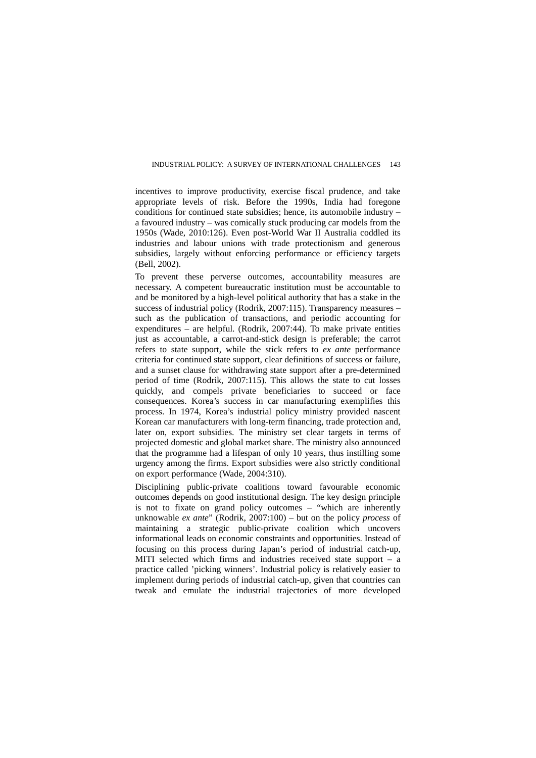incentives to improve productivity, exercise fiscal prudence, and take appropriate levels of risk. Before the 1990s, India had foregone conditions for continued state subsidies; hence, its automobile industry – a favoured industry – was comically stuck producing car models from the 1950s (Wade, 2010:126). Even post-World War II Australia coddled its industries and labour unions with trade protectionism and generous subsidies, largely without enforcing performance or efficiency targets (Bell, 2002).

To prevent these perverse outcomes, accountability measures are necessary. A competent bureaucratic institution must be accountable to and be monitored by a high-level political authority that has a stake in the success of industrial policy (Rodrik, 2007:115). Transparency measures – such as the publication of transactions, and periodic accounting for expenditures – are helpful. (Rodrik, 2007:44). To make private entities just as accountable, a carrot-and-stick design is preferable; the carrot refers to state support, while the stick refers to *ex ante* performance criteria for continued state support, clear definitions of success or failure, and a sunset clause for withdrawing state support after a pre-determined period of time (Rodrik, 2007:115). This allows the state to cut losses quickly, and compels private beneficiaries to succeed or face consequences. Korea's success in car manufacturing exemplifies this process. In 1974, Korea's industrial policy ministry provided nascent Korean car manufacturers with long-term financing, trade protection and, later on, export subsidies. The ministry set clear targets in terms of projected domestic and global market share. The ministry also announced that the programme had a lifespan of only 10 years, thus instilling some urgency among the firms. Export subsidies were also strictly conditional on export performance (Wade, 2004:310).

Disciplining public-private coalitions toward favourable economic outcomes depends on good institutional design. The key design principle is not to fixate on grand policy outcomes – "which are inherently unknowable *ex ante*" (Rodrik, 2007:100) – but on the policy *process* of maintaining a strategic public-private coalition which uncovers informational leads on economic constraints and opportunities. Instead of focusing on this process during Japan's period of industrial catch-up, MITI selected which firms and industries received state support – a practice called 'picking winners'. Industrial policy is relatively easier to implement during periods of industrial catch-up, given that countries can tweak and emulate the industrial trajectories of more developed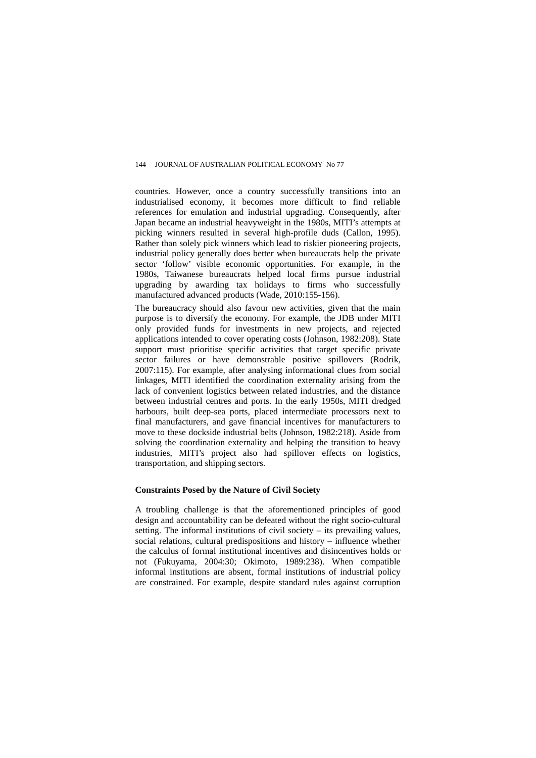countries. However, once a country successfully transitions into an industrialised economy, it becomes more difficult to find reliable references for emulation and industrial upgrading. Consequently, after Japan became an industrial heavyweight in the 1980s, MITI's attempts at picking winners resulted in several high-profile duds (Callon, 1995). Rather than solely pick winners which lead to riskier pioneering projects, industrial policy generally does better when bureaucrats help the private sector 'follow' visible economic opportunities. For example, in the 1980s, Taiwanese bureaucrats helped local firms pursue industrial upgrading by awarding tax holidays to firms who successfully manufactured advanced products (Wade, 2010:155-156).

The bureaucracy should also favour new activities, given that the main purpose is to diversify the economy. For example, the JDB under MITI only provided funds for investments in new projects, and rejected applications intended to cover operating costs (Johnson, 1982:208). State support must prioritise specific activities that target specific private sector failures or have demonstrable positive spillovers (Rodrik, 2007:115). For example, after analysing informational clues from social linkages, MITI identified the coordination externality arising from the lack of convenient logistics between related industries, and the distance between industrial centres and ports. In the early 1950s, MITI dredged harbours, built deep-sea ports, placed intermediate processors next to final manufacturers, and gave financial incentives for manufacturers to move to these dockside industrial belts (Johnson, 1982:218). Aside from solving the coordination externality and helping the transition to heavy industries, MITI's project also had spillover effects on logistics, transportation, and shipping sectors.

#### **Constraints Posed by the Nature of Civil Society**

A troubling challenge is that the aforementioned principles of good design and accountability can be defeated without the right socio-cultural setting. The informal institutions of civil society – its prevailing values, social relations, cultural predispositions and history – influence whether the calculus of formal institutional incentives and disincentives holds or not (Fukuyama, 2004:30; Okimoto, 1989:238). When compatible informal institutions are absent, formal institutions of industrial policy are constrained. For example, despite standard rules against corruption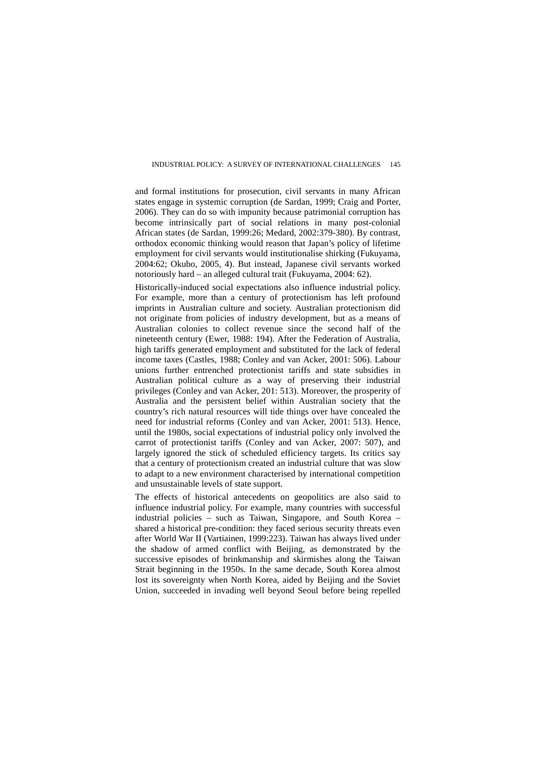and formal institutions for prosecution, civil servants in many African states engage in systemic corruption (de Sardan, 1999; Craig and Porter, 2006). They can do so with impunity because patrimonial corruption has become intrinsically part of social relations in many post-colonial African states (de Sardan, 1999:26; Medard, 2002:379-380). By contrast, orthodox economic thinking would reason that Japan's policy of lifetime employment for civil servants would institutionalise shirking (Fukuyama, 2004:62; Okubo, 2005, 4). But instead, Japanese civil servants worked notoriously hard – an alleged cultural trait (Fukuyama, 2004: 62).

Historically-induced social expectations also influence industrial policy. For example, more than a century of protectionism has left profound imprints in Australian culture and society. Australian protectionism did not originate from policies of industry development, but as a means of Australian colonies to collect revenue since the second half of the nineteenth century (Ewer, 1988: 194). After the Federation of Australia, high tariffs generated employment and substituted for the lack of federal income taxes (Castles, 1988; Conley and van Acker, 2001: 506). Labour unions further entrenched protectionist tariffs and state subsidies in Australian political culture as a way of preserving their industrial privileges (Conley and van Acker, 201: 513). Moreover, the prosperity of Australia and the persistent belief within Australian society that the country's rich natural resources will tide things over have concealed the need for industrial reforms (Conley and van Acker, 2001: 513). Hence, until the 1980s, social expectations of industrial policy only involved the carrot of protectionist tariffs (Conley and van Acker, 2007: 507), and largely ignored the stick of scheduled efficiency targets. Its critics say that a century of protectionism created an industrial culture that was slow to adapt to a new environment characterised by international competition and unsustainable levels of state support.

The effects of historical antecedents on geopolitics are also said to influence industrial policy. For example, many countries with successful industrial policies – such as Taiwan, Singapore, and South Korea – shared a historical pre-condition: they faced serious security threats even after World War II (Vartiainen, 1999:223). Taiwan has always lived under the shadow of armed conflict with Beijing, as demonstrated by the successive episodes of brinkmanship and skirmishes along the Taiwan Strait beginning in the 1950s. In the same decade, South Korea almost lost its sovereignty when North Korea, aided by Beijing and the Soviet Union, succeeded in invading well beyond Seoul before being repelled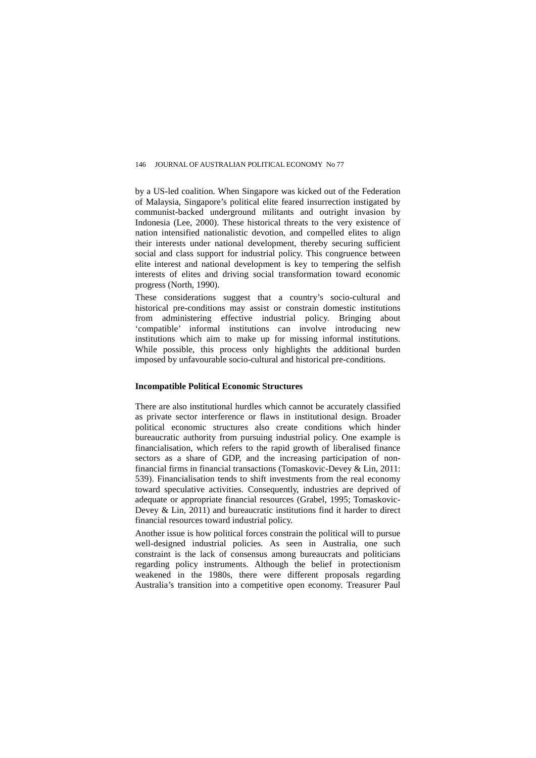by a US-led coalition. When Singapore was kicked out of the Federation of Malaysia, Singapore's political elite feared insurrection instigated by communist-backed underground militants and outright invasion by Indonesia (Lee, 2000). These historical threats to the very existence of nation intensified nationalistic devotion, and compelled elites to align their interests under national development, thereby securing sufficient social and class support for industrial policy. This congruence between elite interest and national development is key to tempering the selfish interests of elites and driving social transformation toward economic progress (North, 1990).

These considerations suggest that a country's socio-cultural and historical pre-conditions may assist or constrain domestic institutions from administering effective industrial policy. Bringing about 'compatible' informal institutions can involve introducing new institutions which aim to make up for missing informal institutions. While possible, this process only highlights the additional burden imposed by unfavourable socio-cultural and historical pre-conditions.

#### **Incompatible Political Economic Structures**

There are also institutional hurdles which cannot be accurately classified as private sector interference or flaws in institutional design. Broader political economic structures also create conditions which hinder bureaucratic authority from pursuing industrial policy. One example is financialisation, which refers to the rapid growth of liberalised finance sectors as a share of GDP, and the increasing participation of nonfinancial firms in financial transactions (Tomaskovic-Devey & Lin, 2011: 539). Financialisation tends to shift investments from the real economy toward speculative activities. Consequently, industries are deprived of adequate or appropriate financial resources (Grabel, 1995; Tomaskovic-Devey  $& Lin, 2011$  and bureaucratic institutions find it harder to direct financial resources toward industrial policy.

Another issue is how political forces constrain the political will to pursue well-designed industrial policies. As seen in Australia, one such constraint is the lack of consensus among bureaucrats and politicians regarding policy instruments. Although the belief in protectionism weakened in the 1980s, there were different proposals regarding Australia's transition into a competitive open economy. Treasurer Paul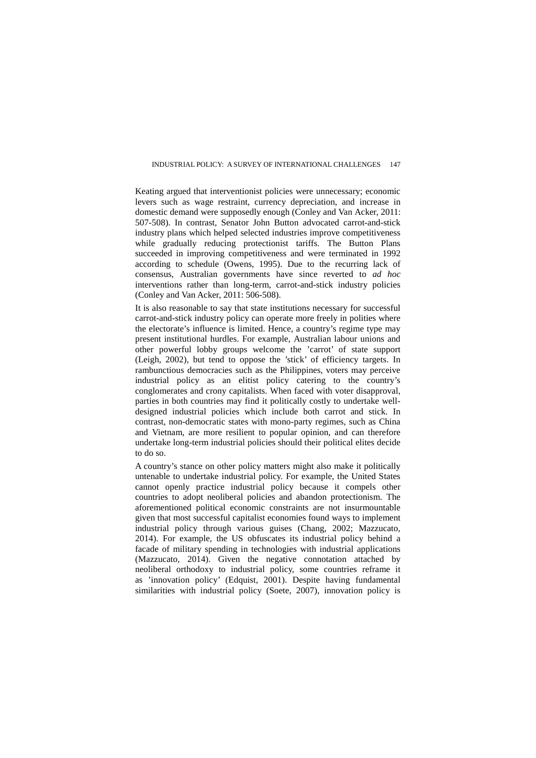Keating argued that interventionist policies were unnecessary; economic levers such as wage restraint, currency depreciation, and increase in domestic demand were supposedly enough (Conley and Van Acker, 2011: 507-508). In contrast, Senator John Button advocated carrot-and-stick industry plans which helped selected industries improve competitiveness while gradually reducing protectionist tariffs. The Button Plans succeeded in improving competitiveness and were terminated in 1992 according to schedule (Owens, 1995). Due to the recurring lack of consensus, Australian governments have since reverted to *ad hoc* interventions rather than long-term, carrot-and-stick industry policies (Conley and Van Acker, 2011: 506-508).

It is also reasonable to say that state institutions necessary for successful carrot-and-stick industry policy can operate more freely in polities where the electorate's influence is limited. Hence, a country's regime type may present institutional hurdles. For example, Australian labour unions and other powerful lobby groups welcome the 'carrot' of state support (Leigh, 2002), but tend to oppose the 'stick' of efficiency targets. In rambunctious democracies such as the Philippines, voters may perceive industrial policy as an elitist policy catering to the country's conglomerates and crony capitalists. When faced with voter disapproval, parties in both countries may find it politically costly to undertake welldesigned industrial policies which include both carrot and stick. In contrast, non-democratic states with mono-party regimes, such as China and Vietnam, are more resilient to popular opinion, and can therefore undertake long-term industrial policies should their political elites decide to do so.

A country's stance on other policy matters might also make it politically untenable to undertake industrial policy. For example, the United States cannot openly practice industrial policy because it compels other countries to adopt neoliberal policies and abandon protectionism. The aforementioned political economic constraints are not insurmountable given that most successful capitalist economies found ways to implement industrial policy through various guises (Chang, 2002; Mazzucato, 2014). For example, the US obfuscates its industrial policy behind a facade of military spending in technologies with industrial applications (Mazzucato, 2014). Given the negative connotation attached by neoliberal orthodoxy to industrial policy, some countries reframe it as 'innovation policy' (Edquist, 2001). Despite having fundamental similarities with industrial policy (Soete, 2007), innovation policy is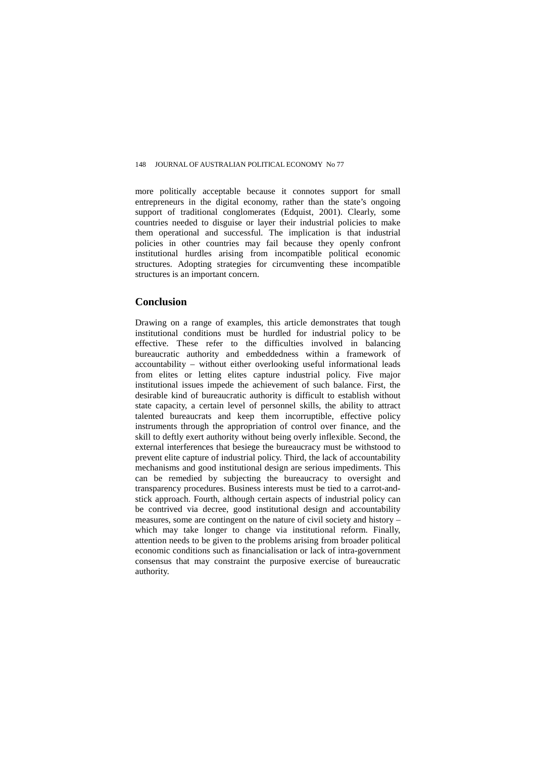more politically acceptable because it connotes support for small entrepreneurs in the digital economy, rather than the state's ongoing support of traditional conglomerates (Edquist, 2001). Clearly, some countries needed to disguise or layer their industrial policies to make them operational and successful. The implication is that industrial policies in other countries may fail because they openly confront institutional hurdles arising from incompatible political economic structures. Adopting strategies for circumventing these incompatible structures is an important concern.

### **Conclusion**

Drawing on a range of examples, this article demonstrates that tough institutional conditions must be hurdled for industrial policy to be effective. These refer to the difficulties involved in balancing bureaucratic authority and embeddedness within a framework of accountability – without either overlooking useful informational leads from elites or letting elites capture industrial policy. Five major institutional issues impede the achievement of such balance. First, the desirable kind of bureaucratic authority is difficult to establish without state capacity, a certain level of personnel skills, the ability to attract talented bureaucrats and keep them incorruptible, effective policy instruments through the appropriation of control over finance, and the skill to deftly exert authority without being overly inflexible. Second, the external interferences that besiege the bureaucracy must be withstood to prevent elite capture of industrial policy. Third, the lack of accountability mechanisms and good institutional design are serious impediments. This can be remedied by subjecting the bureaucracy to oversight and transparency procedures. Business interests must be tied to a carrot-andstick approach. Fourth, although certain aspects of industrial policy can be contrived via decree, good institutional design and accountability measures, some are contingent on the nature of civil society and history – which may take longer to change via institutional reform. Finally, attention needs to be given to the problems arising from broader political economic conditions such as financialisation or lack of intra-government consensus that may constraint the purposive exercise of bureaucratic authority.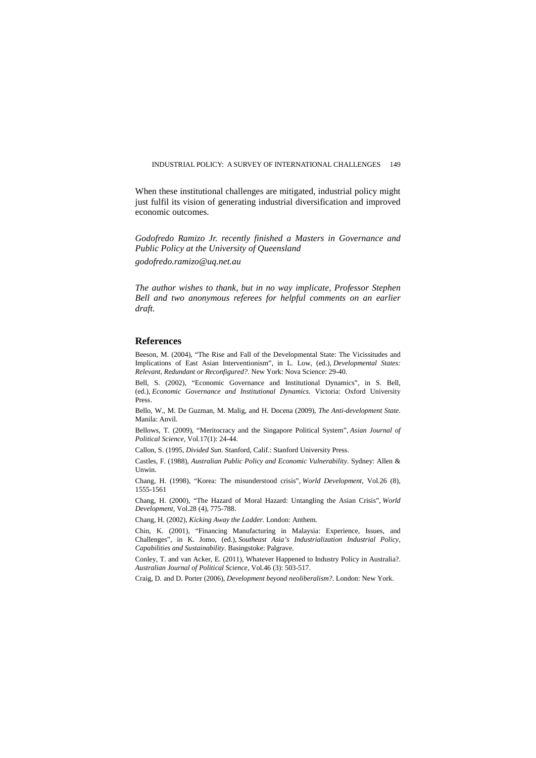When these institutional challenges are mitigated, industrial policy might just fulfil its vision of generating industrial diversification and improved economic outcomes.

*Godofredo Ramizo Jr. recently finished a Masters in Governance and Public Policy at the University of Queensland*

*godofredo.ramizo@uq.net.au*

*The author wishes to thank, but in no way implicate, Professor Stephen Bell and two anonymous referees for helpful comments on an earlier draft.* 

#### **References**

Beeson, M. (2004), "The Rise and Fall of the Developmental State: The Vicissitudes and Implications of East Asian Interventionism", in L. Low, (ed.), *Developmental States: Relevant, Redundant or Reconfigured?*. New York: Nova Science: 29-40.

Bell, S. (2002), "Economic Governance and Institutional Dynamics", in S. Bell, (ed.), *Economic Governance and Institutional Dynamics*. Victoria: Oxford University Press.

Bello, W., M. De Guzman, M. Malig, and H. Docena (2009), *The Anti-development State*. Manila: Anvil.

Bellows, T. (2009), "Meritocracy and the Singapore Political System", *Asian Journal of Political Science*, Vol.17(1): 24-44.

Callon, S. (1995, *Divided Sun*. Stanford, Calif.: Stanford University Press.

Castles, F. (1988), *Australian Public Policy and Economic Vulnerability*. Sydney: Allen & Unwin.

Chang, H. (1998), "Korea: The misunderstood crisis", *World Development*, Vol.26 (8), 1555-1561

Chang, H. (2000), "The Hazard of Moral Hazard: Untangling the Asian Crisis", *World Development*, Vol.28 (4), 775-788.

Chang, H. (2002), *Kicking Away the Ladder.* London: Anthem.

Chin, K. (2001), "Financing Manufacturing in Malaysia: Experience, Issues, and Challenges", in K. Jomo, (ed.), *Southeast Asia's Industrialization Industrial Policy, Capabilities and Sustainability.* Basingstoke: Palgrave.

Conley, T. and van Acker, E. (2011), Whatever Happened to Industry Policy in Australia?. *Australian Journal of Political Science*, Vol.46 (3): 503-517.

Craig, D. and D. Porter (2006), *Development beyond neoliberalism?*. London: New York.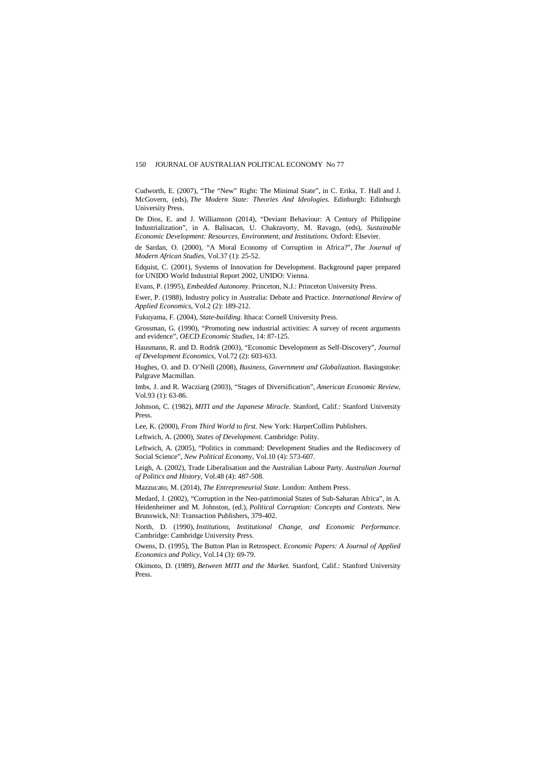Cudworth, E. (2007), "The "New" Right: The Minimal State", in C. Erika, T. Hall and J. McGovern, (eds), *The Modern State: Theories And Ideologies*. Edinburgh: Edinburgh University Press.

De Dios, E. and J. Williamson (2014), "Deviant Behaviour: A Century of Philippine Industrialization", in A. Balisacan, U. Chakravorty, M. Ravago, (eds), *Sustainable Economic Development: Resources, Environment, and Institutions.* Oxford: Elsevier.

de Sardan, O. (2000), "A Moral Economy of Corruption in Africa?", *The Journal of Modern African Studies*, Vol.37 (1): 25-52.

Edquist, C. (2001), Systems of Innovation for Development. Background paper prepared for UNIDO World Industrial Report 2002, UNIDO: Vienna.

Evans, P. (1995), *Embedded Autonomy*. Princeton, N.J.: Princeton University Press.

Ewer, P. (1988), Industry policy in Australia: Debate and Practice. *International Review of Applied Economics*, Vol.2 (2): 189-212.

Fukuyama, F. (2004), *State-building*. Ithaca: Cornell University Press.

Grossman, G. (1990), "Promoting new industrial activities: A survey of recent arguments and evidence", *OECD Economic Studies*, 14: 87-125.

Hausmann, R. and D. Rodrik (2003), "Economic Development as Self-Discovery", *Journal of Development Economics*, Vol.72 (2): 603-633.

Hughes, O. and D. O'Neill (2008), *Business, Government and Globalization.* Basingstoke: Palgrave Macmillan.

Imbs, J. and R. Wacziarg (2003), "Stages of Diversification", *American Economic Review*, Vol.93 (1): 63-86.

Johnson, C. (1982), *MITI and the Japanese Miracle*. Stanford, Calif.: Stanford University Press.

Lee, K. (2000), *From Third World to first.* New York: HarperCollins Publishers.

Leftwich, A. (2000), *States of Development.* Cambridge: Polity.

Leftwich, A. (2005), "Politics in command: Development Studies and the Rediscovery of Social Science", *New Political Economy*, Vol.10 (4): 573-607.

Leigh, A. (2002), Trade Liberalisation and the Australian Labour Party. *Australian Journal of Politics and History*, Vol.48 (4): 487-508.

Mazzucato, M. (2014), *The Entrepreneurial State*. London: Anthem Press.

Medard, J. (2002), "Corruption in the Neo-patrimonial States of Sub-Saharan Africa", in A. Heidenheimer and M. Johnston, (ed.), *Political Corruption: Concepts and Contexts*. New Brunswick, NJ: Transaction Publishers, 379-402.

North, D. (1990), *Institutions, Institutional Change, and Economic Performance.* Cambridge: Cambridge University Press.

Owens, D. (1995), The Button Plan in Retrospect. *Economic Papers: A Journal of Applied Economics and Policy*, Vol.14 (3): 69-79.

Okimoto, D. (1989), *Between MITI and the Market.* Stanford, Calif.: Stanford University Press.